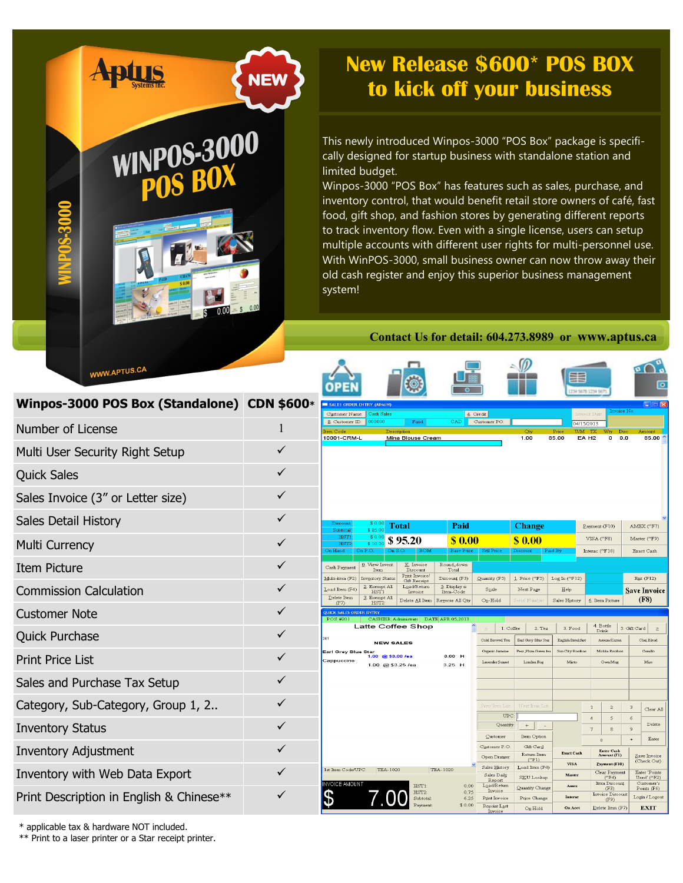## **New Release \$600\* POS BOX NEW to kick off your business**

This newly introduced Winpos-3000 "POS Box" package is specifically designed for startup business with standalone station and limited budget.

Winpos-3000 "POS Box" has features such as sales, purchase, and inventory control, that would benefit retail store owners of café, fast food, gift shop, and fashion stores by generating different reports to track inventory flow. Even with a single license, users can setup multiple accounts with different user rights for multi-personnel use. With WinPOS-3000, small business owner can now throw away their old cash register and enjoy this superior business management system!

## **Contact Us for detail: 604.273.8989 or www.aptus.ca**

 $\sim$ 

| <b>WWW.APTUS.CA</b>                         |   | OPE                                                |                  |                                                                   | €                                                        |                                                          |           |                                             |                                            | ■                            | 234 5876 1234 563                |                                                  |                         | $\overline{P} \cap \overline{Q}$<br>তি     |
|---------------------------------------------|---|----------------------------------------------------|------------------|-------------------------------------------------------------------|----------------------------------------------------------|----------------------------------------------------------|-----------|---------------------------------------------|--------------------------------------------|------------------------------|----------------------------------|--------------------------------------------------|-------------------------|--------------------------------------------|
| Winpos-3000 POS Box (Standalone) CDN \$600* |   | SALES ORDER ENTRY (ADMIN)<br>Customer Name:        |                  | Cash Sales                                                        |                                                          |                                                          | 4. Credit |                                             |                                            |                              | Invoice Date                     |                                                  | Invoice No.             | ∃   >                                      |
| Number of License                           |   | 8. Customer ID:<br>10001-CRM-L                     |                  | 200000<br>Descript                                                | Fund:<br>Mina Blouse Cream                               | CAD                                                      |           | Customer PO:                                | 1.00                                       | 85.00                        | 04/15/2013<br>EA <sub>H2</sub>   | 0                                                | 0.0                     | 85.00                                      |
| Multi User Security Right Setup             | ✓ |                                                    |                  |                                                                   |                                                          |                                                          |           |                                             |                                            |                              |                                  |                                                  |                         |                                            |
| <b>Quick Sales</b>                          | ✓ |                                                    |                  |                                                                   |                                                          |                                                          |           |                                             |                                            |                              |                                  |                                                  |                         |                                            |
| Sales Invoice (3" or Letter size)           | ✓ |                                                    |                  |                                                                   |                                                          |                                                          |           |                                             |                                            |                              |                                  |                                                  |                         |                                            |
| Sales Detail History                        | ✓ | Discount<br>Subtotal                               |                  | 80.<br>\$85.0                                                     | Total                                                    | Paid                                                     |           |                                             | <b>Change</b>                              |                              |                                  | $\mathbf{Payment}(F10)$                          |                         | AMEX (^F7)                                 |
| <b>Multi Currency</b>                       | ✓ | HST1<br>HST.<br>On Hand                            | \$10.<br>On P.O. | \$0.1<br>On S.O                                                   | \$95.20                                                  | \$0.00<br><b>Base Price</b>                              |           | Sell Price                                  | \$0.00<br>Discount                         | Paid By                      |                                  | VISA (^F8)<br>Interac (^F10)                     |                         | Master ('F9)<br>Exact Cash                 |
| <b>Item Picture</b>                         | ✓ | Cash Payment                                       |                  | Q. View Invent<br>Ttem                                            | K. Invoice<br>Discount                                   | Round-down<br>Total                                      |           |                                             |                                            |                              |                                  |                                                  |                         |                                            |
| <b>Commission Calculation</b>               | ✓ | Multi-item (F2)<br>Load Item (F4)<br>$Delete$ Item |                  | <b>Inventory Status</b><br>2. Exempt All<br>HST1<br>3. Exempt All | Print Invoice/<br>Gift Receipt<br>Load/Return<br>Invoice | Discount (F3)<br>5. Display is<br>Item-Code              |           | Quantity (F5)<br>$SQ$ ale                   | 1. Price (^F5)<br>Next Page                | Log In (YF12)<br>Help        |                                  |                                                  |                         | Egit $(F12)$<br><b>Save Invoice</b>        |
| <b>Customer Note</b>                        | ✓ | (F7)<br><b>QUICK SALES ORDER ENTRY</b><br>POS #201 |                  | HST <sub>2</sub>                                                  | Delete All Item                                          | Regerse All Qty<br>CASHIER Administrate DATE APR 05,2013 |           | $O_0$ -Hold                                 | Serial Num <u>b</u> e                      | Sales History                |                                  | 6. Item Picture                                  |                         | (F8)                                       |
| <b>Quick Purchase</b>                       | ✓ | 201                                                |                  | <b>NEW SALES</b>                                                  | <b>Latte Coffee Shop</b>                                 |                                                          |           | Cold Brewed Tea                             | 1. Coffee<br>2. Tea<br>Earl Grey Blue Star | 3. Food<br>English Breakfast |                                  | 4. Bottle<br>Drink<br>Assam Karne                | 5. Gift Card            | Chai Blend                                 |
| <b>Print Price List</b>                     | ✓ | Earl Grey Blue Star<br>Cappuccino                  |                  | @\$3.00 /ea<br>1.00<br>1.00 @ \$3.25 /ea                          |                                                          | 3.00 H<br>$3.25$ H                                       |           | Organic Jasmine<br>Lavender Sunset          | Pear Plum Green tea<br>London Fog          | Sun City Rooibos<br>Misto    |                                  | Mokka Roofbos<br>Own Mug                         |                         | Camillo<br>Misc                            |
| Sales and Purchase Tax Setup                | ✓ |                                                    |                  |                                                                   |                                                          |                                                          |           |                                             |                                            |                              |                                  |                                                  |                         |                                            |
| Category, Sub-Category, Group 1, 2          | ✓ |                                                    |                  |                                                                   |                                                          |                                                          |           | Prev Item List                              | Next Item List                             |                              | $\mathbf{1}$                     | $\overline{c}$                                   | $\overline{\mathbf{3}}$ | Clear All                                  |
| <b>Inventory Status</b>                     |   |                                                    |                  |                                                                   |                                                          |                                                          |           | UPC<br>Quantity.<br>Customer                | $+$<br>Item Option                         |                              | $\overline{4}$<br>$\overline{7}$ | 5<br>$\mathbf{S}$                                | 6<br>$\mathcal{Q}$      | Delete                                     |
| <b>Inventory Adjustment</b>                 | ✓ |                                                    |                  |                                                                   |                                                          |                                                          |           | Customer P.O.                               | Gift Card<br>Return Item                   | <b>Exact Cash</b>            |                                  | $\mathbf{0}$<br><b>Enter Cash</b><br>Amount (F1) |                         | Enter<br>Save Invoice                      |
| Inventory with Web Data Export              | ✓ | 1st Item Code/UPC                                  |                  | TEA-1020                                                          |                                                          | TEA-1020                                                 |           | Open Drawer<br>Sales History<br>Sales Daily | $($ F1)<br>Load Item (F4)<br>SKU Lookup    | <b>VISA</b><br>Master        |                                  | Payment (F10)<br>Clear Payment<br>$($ F4 $)$     |                         | (Check Out)<br>Enter Points<br>Used' (^F2) |
|                                             | ✓ | <b>NVOICE AMOUNT</b>                               |                  |                                                                   | HST1:<br>HST2:                                           | 0.00<br>0.75                                             |           | Report<br>Load/Return<br>Invoice            | Quantity Change                            | Amex                         |                                  | Item Discount<br>(F3)<br>Invoice Discoun         |                         | Customer's<br>Points (F6)                  |
| Print Description in English & Chinese**    |   |                                                    |                  |                                                                   | Subtotal:                                                | 6.25<br>\$0.00                                           |           | Print Invoice<br>Reprint Last<br>Invoice    | Price Change<br>$O_2$ Hold                 | Interas<br>On Acct           |                                  | (F9)<br>$Delete$ Item (F7)                       |                         | Login / Logout<br><b>EXIT</b>              |

\* applicable tax & hardware NOT included.

\*\* Print to a laser printer or a Star receipt printer.

**Aptus** 

**WINPOS-3000**<br>POS BOX